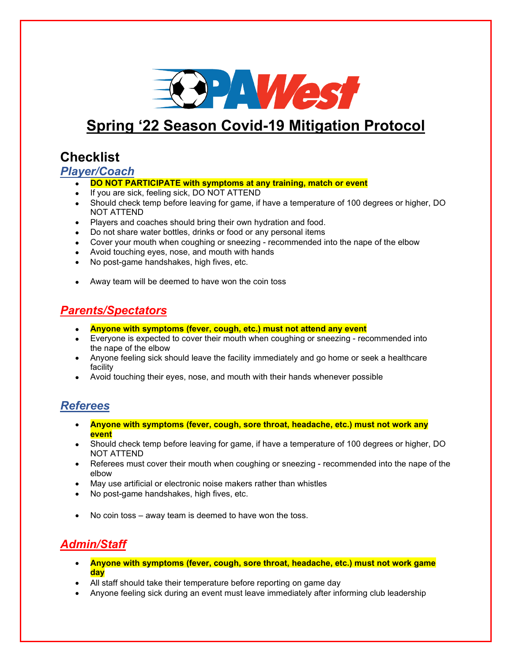

# **Spring '22 Season Covid-19 Mitigation Protocol**

## **Checklist**

#### *Player/Coach*

- **DO NOT PARTICIPATE with symptoms at any training, match or event**
- If you are sick, feeling sick, DO NOT ATTEND
- Should check temp before leaving for game, if have a temperature of 100 degrees or higher, DO NOT ATTEND
- Players and coaches should bring their own hydration and food.
- Do not share water bottles, drinks or food or any personal items
- Cover your mouth when coughing or sneezing recommended into the nape of the elbow
- Avoid touching eyes, nose, and mouth with hands
- No post-game handshakes, high fives, etc.
- Away team will be deemed to have won the coin toss

### *Parents/Spectators*

- **Anyone with symptoms (fever, cough, etc.) must not attend any event**
- Everyone is expected to cover their mouth when coughing or sneezing recommended into the nape of the elbow
- Anyone feeling sick should leave the facility immediately and go home or seek a healthcare facility
- Avoid touching their eyes, nose, and mouth with their hands whenever possible

### *Referees*

- **Anyone with symptoms (fever, cough, sore throat, headache, etc.) must not work any event**
- Should check temp before leaving for game, if have a temperature of 100 degrees or higher, DO NOT ATTEND
- Referees must cover their mouth when coughing or sneezing recommended into the nape of the elbow
- May use artificial or electronic noise makers rather than whistles
- No post-game handshakes, high fives, etc.
- No coin toss away team is deemed to have won the toss.

## *Admin/Staff*

- **Anyone with symptoms (fever, cough, sore throat, headache, etc.) must not work game day**
- All staff should take their temperature before reporting on game day
- Anyone feeling sick during an event must leave immediately after informing club leadership